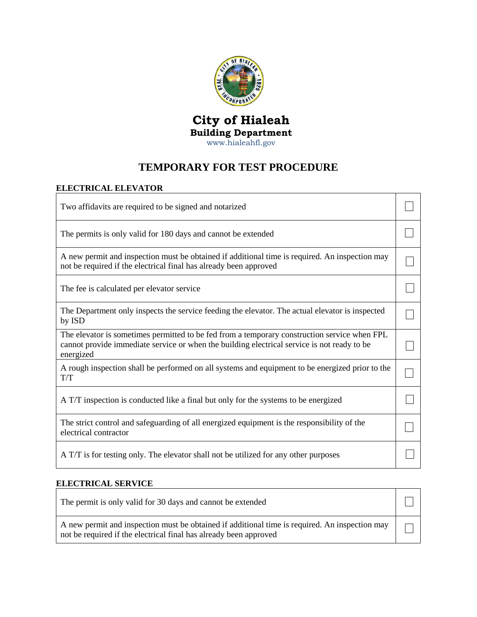

## **City of Hialeah Building Department** [www.hialeahfl.gov](http://www.hialeahfl.gov/)

## **TEMPORARY FOR TEST PROCEDURE**

## **ELECTRICAL ELEVATOR**

| Two affidavits are required to be signed and notarized                                                                                                                                                   |  |
|----------------------------------------------------------------------------------------------------------------------------------------------------------------------------------------------------------|--|
| The permits is only valid for 180 days and cannot be extended                                                                                                                                            |  |
| A new permit and inspection must be obtained if additional time is required. An inspection may<br>not be required if the electrical final has already been approved                                      |  |
| The fee is calculated per elevator service                                                                                                                                                               |  |
| The Department only inspects the service feeding the elevator. The actual elevator is inspected<br>by ISD                                                                                                |  |
| The elevator is sometimes permitted to be fed from a temporary construction service when FPL<br>cannot provide immediate service or when the building electrical service is not ready to be<br>energized |  |
| A rough inspection shall be performed on all systems and equipment to be energized prior to the<br>T/T                                                                                                   |  |
| A T/T inspection is conducted like a final but only for the systems to be energized                                                                                                                      |  |
| The strict control and safeguarding of all energized equipment is the responsibility of the<br>electrical contractor                                                                                     |  |
| A T/T is for testing only. The elevator shall not be utilized for any other purposes                                                                                                                     |  |

## **ELECTRICAL SERVICE**

| The permit is only valid for 30 days and cannot be extended                                                                                                         |  |
|---------------------------------------------------------------------------------------------------------------------------------------------------------------------|--|
| A new permit and inspection must be obtained if additional time is required. An inspection may<br>not be required if the electrical final has already been approved |  |